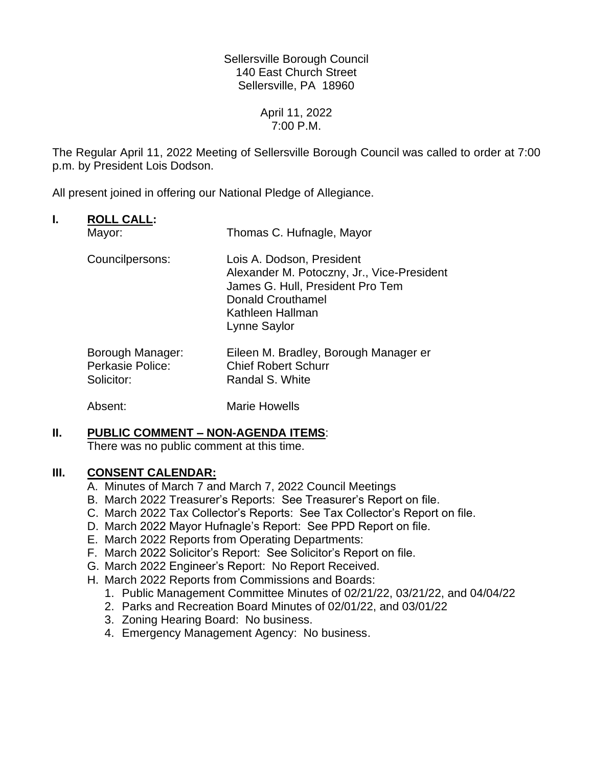Sellersville Borough Council 140 East Church Street Sellersville, PA 18960

> April 11, 2022 7:00 P.M.

The Regular April 11, 2022 Meeting of Sellersville Borough Council was called to order at 7:00 p.m. by President Lois Dodson.

All present joined in offering our National Pledge of Allegiance.

## **I. ROLL CALL:**

| Mayor:                                             | Thomas C. Hufnagle, Mayor                                                                                                                                                   |
|----------------------------------------------------|-----------------------------------------------------------------------------------------------------------------------------------------------------------------------------|
| Councilpersons:                                    | Lois A. Dodson, President<br>Alexander M. Potoczny, Jr., Vice-President<br>James G. Hull, President Pro Tem<br><b>Donald Crouthamel</b><br>Kathleen Hallman<br>Lynne Saylor |
| Borough Manager:<br>Perkasie Police:<br>Solicitor: | Eileen M. Bradley, Borough Manager er<br><b>Chief Robert Schurr</b><br>Randal S. White                                                                                      |

Absent: Marie Howells

## **II. PUBLIC COMMENT – NON-AGENDA ITEMS**:

There was no public comment at this time.

## **III. CONSENT CALENDAR:**

- A. Minutes of March 7 and March 7, 2022 Council Meetings
- B. March 2022 Treasurer's Reports: See Treasurer's Report on file.
- C. March 2022 Tax Collector's Reports: See Tax Collector's Report on file.
- D. March 2022 Mayor Hufnagle's Report: See PPD Report on file.
- E. March 2022 Reports from Operating Departments:
- F. March 2022 Solicitor's Report: See Solicitor's Report on file.
- G. March 2022 Engineer's Report: No Report Received.
- H. March 2022 Reports from Commissions and Boards:
	- 1. Public Management Committee Minutes of 02/21/22, 03/21/22, and 04/04/22
	- 2. Parks and Recreation Board Minutes of 02/01/22, and 03/01/22
	- 3. Zoning Hearing Board: No business.
	- 4. Emergency Management Agency: No business.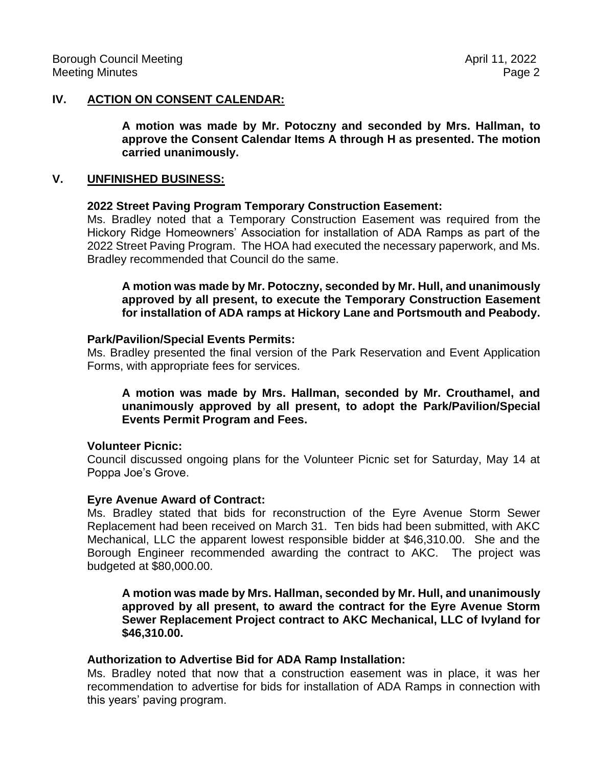## **IV. ACTION ON CONSENT CALENDAR:**

**A motion was made by Mr. Potoczny and seconded by Mrs. Hallman, to approve the Consent Calendar Items A through H as presented. The motion carried unanimously.**

### **V. UNFINISHED BUSINESS:**

### **2022 Street Paving Program Temporary Construction Easement:**

Ms. Bradley noted that a Temporary Construction Easement was required from the Hickory Ridge Homeowners' Association for installation of ADA Ramps as part of the 2022 Street Paving Program. The HOA had executed the necessary paperwork, and Ms. Bradley recommended that Council do the same.

**A motion was made by Mr. Potoczny, seconded by Mr. Hull, and unanimously approved by all present, to execute the Temporary Construction Easement for installation of ADA ramps at Hickory Lane and Portsmouth and Peabody.**

#### **Park/Pavilion/Special Events Permits:**

Ms. Bradley presented the final version of the Park Reservation and Event Application Forms, with appropriate fees for services.

**A motion was made by Mrs. Hallman, seconded by Mr. Crouthamel, and unanimously approved by all present, to adopt the Park/Pavilion/Special Events Permit Program and Fees.**

### **Volunteer Picnic:**

Council discussed ongoing plans for the Volunteer Picnic set for Saturday, May 14 at Poppa Joe's Grove.

### **Eyre Avenue Award of Contract:**

Ms. Bradley stated that bids for reconstruction of the Eyre Avenue Storm Sewer Replacement had been received on March 31. Ten bids had been submitted, with AKC Mechanical, LLC the apparent lowest responsible bidder at \$46,310.00. She and the Borough Engineer recommended awarding the contract to AKC. The project was budgeted at \$80,000.00.

**A motion was made by Mrs. Hallman, seconded by Mr. Hull, and unanimously approved by all present, to award the contract for the Eyre Avenue Storm Sewer Replacement Project contract to AKC Mechanical, LLC of Ivyland for \$46,310.00.**

### **Authorization to Advertise Bid for ADA Ramp Installation:**

Ms. Bradley noted that now that a construction easement was in place, it was her recommendation to advertise for bids for installation of ADA Ramps in connection with this years' paving program.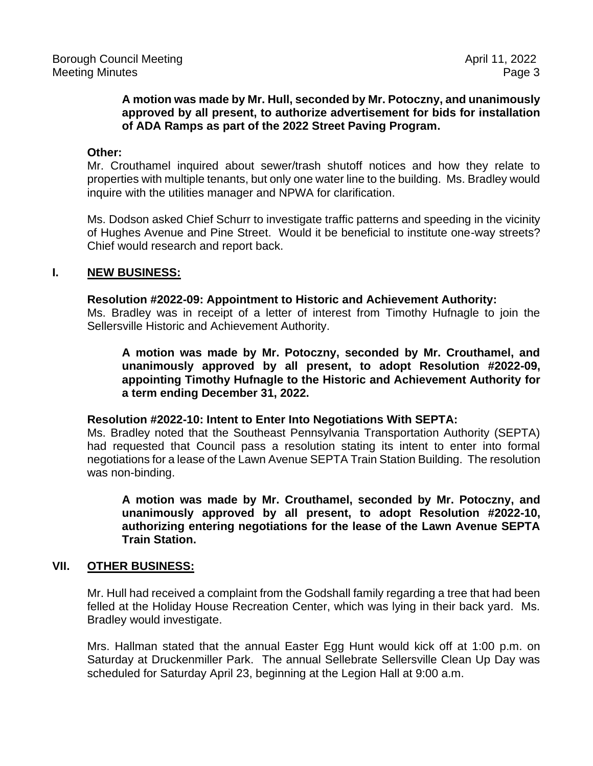## **A motion was made by Mr. Hull, seconded by Mr. Potoczny, and unanimously approved by all present, to authorize advertisement for bids for installation of ADA Ramps as part of the 2022 Street Paving Program.**

#### **Other:**

Mr. Crouthamel inquired about sewer/trash shutoff notices and how they relate to properties with multiple tenants, but only one water line to the building. Ms. Bradley would inquire with the utilities manager and NPWA for clarification.

Ms. Dodson asked Chief Schurr to investigate traffic patterns and speeding in the vicinity of Hughes Avenue and Pine Street. Would it be beneficial to institute one-way streets? Chief would research and report back.

### **I. NEW BUSINESS:**

#### **Resolution #2022-09: Appointment to Historic and Achievement Authority:**

Ms. Bradley was in receipt of a letter of interest from Timothy Hufnagle to join the Sellersville Historic and Achievement Authority.

**A motion was made by Mr. Potoczny, seconded by Mr. Crouthamel, and unanimously approved by all present, to adopt Resolution #2022-09, appointing Timothy Hufnagle to the Historic and Achievement Authority for a term ending December 31, 2022.** 

#### **Resolution #2022-10: Intent to Enter Into Negotiations With SEPTA:**

Ms. Bradley noted that the Southeast Pennsylvania Transportation Authority (SEPTA) had requested that Council pass a resolution stating its intent to enter into formal negotiations for a lease of the Lawn Avenue SEPTA Train Station Building. The resolution was non-binding.

**A motion was made by Mr. Crouthamel, seconded by Mr. Potoczny, and unanimously approved by all present, to adopt Resolution #2022-10, authorizing entering negotiations for the lease of the Lawn Avenue SEPTA Train Station.** 

### **VII. OTHER BUSINESS:**

Mr. Hull had received a complaint from the Godshall family regarding a tree that had been felled at the Holiday House Recreation Center, which was lying in their back yard. Ms. Bradley would investigate.

Mrs. Hallman stated that the annual Easter Egg Hunt would kick off at 1:00 p.m. on Saturday at Druckenmiller Park. The annual Sellebrate Sellersville Clean Up Day was scheduled for Saturday April 23, beginning at the Legion Hall at 9:00 a.m.